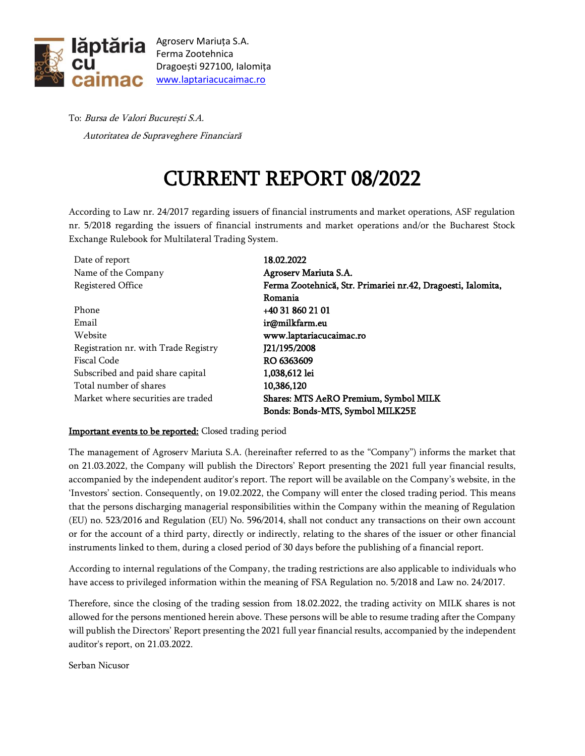

Agroserv Mariuța S.A. Ferma Zootehnica Dragoești 927100, Ialomița [www.laptariacucaimac.ro](http://www.laptariacucaimac.ro/)

To: Bursa de Valori București S.A. Autoritatea de Supraveghere Financiară

## CURRENT REPORT 08/2022

According to Law nr. 24/2017 regarding issuers of financial instruments and market operations, ASF regulation nr. 5/2018 regarding the issuers of financial instruments and market operations and/or the Bucharest Stock Exchange Rulebook for Multilateral Trading System.

| Date of report                       | 18.02.2022                                                   |
|--------------------------------------|--------------------------------------------------------------|
| Name of the Company                  | Agroserv Mariuta S.A.                                        |
| Registered Office                    | Ferma Zootehnică, Str. Primariei nr.42, Dragoesti, Ialomita, |
|                                      | Romania                                                      |
| Phone                                | +40 31 860 21 01                                             |
| Email                                | ir@milkfarm.eu                                               |
| Website                              | www.laptariacucaimac.ro                                      |
| Registration nr. with Trade Registry | J21/195/2008                                                 |
| Fiscal Code                          | RO 6363609                                                   |
| Subscribed and paid share capital    | 1,038,612 lei                                                |
| Total number of shares               | 10,386,120                                                   |
| Market where securities are traded   | Shares: MTS AeRO Premium, Symbol MILK                        |
|                                      | Bonds: Bonds-MTS, Symbol MILK25E                             |

## Important events to be reported: Closed trading period

The management of Agroserv Mariuta S.A. (hereinafter referred to as the "Company") informs the market that on 21.03.2022, the Company will publish the Directors' Report presenting the 2021 full year financial results, accompanied by the independent auditor's report. The report will be available on the Company's website, in the 'Investors' section. Consequently, on 19.02.2022, the Company will enter the closed trading period. This means that the persons discharging managerial responsibilities within the Company within the meaning of Regulation (EU) no. 523/2016 and Regulation (EU) No. 596/2014, shall not conduct any transactions on their own account or for the account of a third party, directly or indirectly, relating to the shares of the issuer or other financial instruments linked to them, during a closed period of 30 days before the publishing of a financial report.

According to internal regulations of the Company, the trading restrictions are also applicable to individuals who have access to privileged information within the meaning of FSA Regulation no. 5/2018 and Law no. 24/2017.

Therefore, since the closing of the trading session from 18.02.2022, the trading activity on MILK shares is not allowed for the persons mentioned herein above. These persons will be able to resume trading after the Company will publish the Directors' Report presenting the 2021 full year financial results, accompanied by the independent auditor's report, on 21.03.2022.

Serban Nicusor